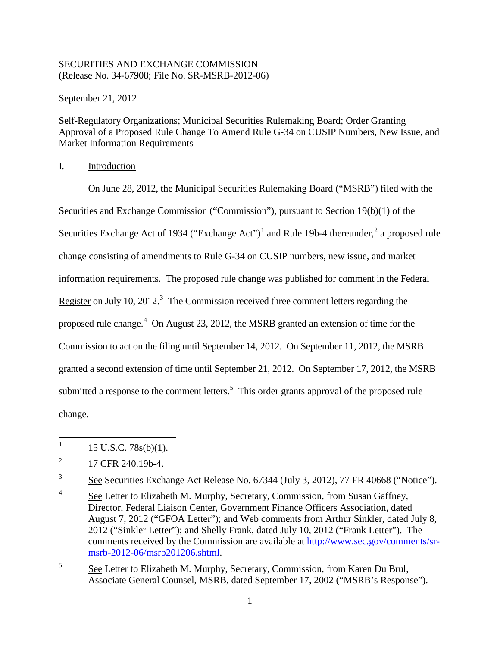## SECURITIES AND EXCHANGE COMMISSION (Release No. 34-67908; File No. SR-MSRB-2012-06)

September 21, 2012

Self-Regulatory Organizations; Municipal Securities Rulemaking Board; Order Granting Approval of a Proposed Rule Change To Amend Rule G-34 on CUSIP Numbers, New Issue, and Market Information Requirements

I. Introduction

<span id="page-0-5"></span>On June 28, 2012, the Municipal Securities Rulemaking Board ("MSRB") filed with the Securities and Exchange Commission ("Commission"), pursuant to Section 19(b)(1) of the Securities Exchange Act of [1](#page-0-0)934 ("Exchange Act")<sup>1</sup> and Rule 19b-4 thereunder,<sup>[2](#page-0-1)</sup> a proposed rule change consisting of amendments to Rule G-34 on CUSIP numbers, new issue, and market information requirements. The proposed rule change was published for comment in the Federal Register on July 10, 2012.<sup>[3](#page-0-2)</sup> The Commission received three comment letters regarding the proposed rule change.<sup>[4](#page-0-3)</sup> On August 23, 2012, the MSRB granted an extension of time for the Commission to act on the filing until September 14, 2012. On September 11, 2012, the MSRB granted a second extension of time until September 21, 2012. On September 17, 2012, the MSRB submitted a response to the comment letters.<sup>[5](#page-0-4)</sup> This order grants approval of the proposed rule change.

<span id="page-0-6"></span><sup>|&</sup>lt;br>|<br>| 15 U.S.C. 78s(b)(1).

<span id="page-0-1"></span><span id="page-0-0"></span><sup>2</sup> 17 CFR 240.19b-4.

<span id="page-0-2"></span><sup>3</sup> See Securities Exchange Act Release No. 67344 (July 3, 2012), 77 FR 40668 ("Notice").

<span id="page-0-3"></span><sup>4</sup> See Letter to Elizabeth M. Murphy, Secretary, Commission, from Susan Gaffney, Director, Federal Liaison Center, Government Finance Officers Association, dated August 7, 2012 ("GFOA Letter"); and Web comments from Arthur Sinkler, dated July 8, 2012 ("Sinkler Letter"); and Shelly Frank, dated July 10, 2012 ("Frank Letter"). The comments received by the Commission are available at [http://www.sec.gov/comments/sr](http://www.sec.gov/comments/sr-msrb-2012-06/msrb201206.shtml)[msrb-2012-06/msrb201206.shtml.](http://www.sec.gov/comments/sr-msrb-2012-06/msrb201206.shtml)

<span id="page-0-4"></span><sup>5</sup> See Letter to Elizabeth M. Murphy, Secretary, Commission, from Karen Du Brul, Associate General Counsel, MSRB, dated September 17, 2002 ("MSRB's Response").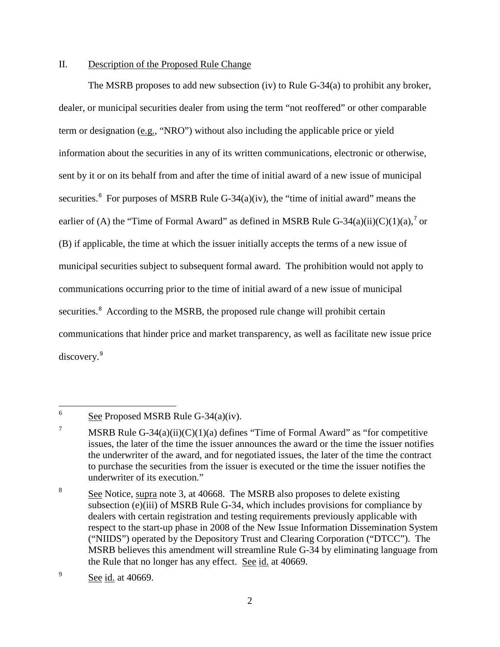## II. Description of the Proposed Rule Change

<span id="page-1-4"></span>The MSRB proposes to add new subsection (iv) to Rule G-34(a) to prohibit any broker, dealer, or municipal securities dealer from using the term "not reoffered" or other comparable term or designation (e.g., "NRO") without also including the applicable price or yield information about the securities in any of its written communications, electronic or otherwise, sent by it or on its behalf from and after the time of initial award of a new issue of municipal securities.<sup>[6](#page-1-0)</sup> For purposes of MSRB Rule G-34 $(a)(iv)$ , the "time of initial award" means the earlier of (A) the "Time of Formal Award" as defined in MSRB Rule G-34(a)(ii)(C)(1)(a),<sup>[7](#page-1-1)</sup> or (B) if applicable, the time at which the issuer initially accepts the terms of a new issue of municipal securities subject to subsequent formal award. The prohibition would not apply to communications occurring prior to the time of initial award of a new issue of municipal securities.<sup>[8](#page-1-2)</sup> According to the MSRB, the proposed rule change will prohibit certain communications that hinder price and market transparency, as well as facilitate new issue price discovery.<sup>[9](#page-1-3)</sup>

<span id="page-1-0"></span> 6 See Proposed MSRB Rule G-34(a)(iv).

<span id="page-1-1"></span><sup>7</sup> MSRB Rule G-34 $(a)(ii)(C)(1)(a)$  defines "Time of Formal Award" as "for competitive issues, the later of the time the issuer announces the award or the time the issuer notifies the underwriter of the award, and for negotiated issues, the later of the time the contract to purchase the securities from the issuer is executed or the time the issuer notifies the underwriter of its execution."

<span id="page-1-2"></span><sup>8</sup> See Notice, supra note [3,](#page-0-5) at 40668. The MSRB also proposes to delete existing subsection (e)(iii) of MSRB Rule G-34, which includes provisions for compliance by dealers with certain registration and testing requirements previously applicable with respect to the start-up phase in 2008 of the New Issue Information Dissemination System ("NIIDS") operated by the Depository Trust and Clearing Corporation ("DTCC"). The MSRB believes this amendment will streamline Rule G-34 by eliminating language from the Rule that no longer has any effect. See id. at 40669.

<span id="page-1-3"></span><sup>9</sup> See id. at 40669.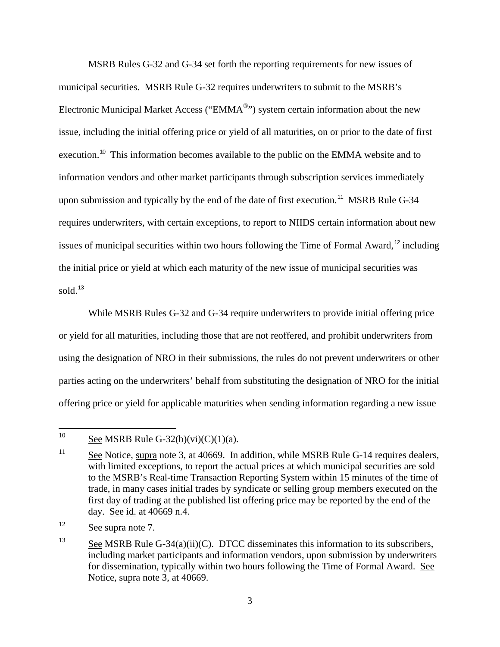MSRB Rules G-32 and G-34 set forth the reporting requirements for new issues of municipal securities. MSRB Rule G-32 requires underwriters to submit to the MSRB's Electronic Municipal Market Access ("EMMA®") system certain information about the new issue, including the initial offering price or yield of all maturities, on or prior to the date of first execution.<sup>[10](#page-2-0)</sup> This information becomes available to the public on the EMMA website and to information vendors and other market participants through subscription services immediately upon submission and typically by the end of the date of first execution.<sup>[11](#page-2-1)</sup> MSRB Rule G-34 requires underwriters, with certain exceptions, to report to NIIDS certain information about new issues of municipal securities within two hours following the Time of Formal Award,<sup>[12](#page-2-2)</sup> including the initial price or yield at which each maturity of the new issue of municipal securities was sold.<sup>[13](#page-2-3)</sup>

While MSRB Rules G-32 and G-34 require underwriters to provide initial offering price or yield for all maturities, including those that are not reoffered, and prohibit underwriters from using the designation of NRO in their submissions, the rules do not prevent underwriters or other parties acting on the underwriters' behalf from substituting the designation of NRO for the initial offering price or yield for applicable maturities when sending information regarding a new issue

<span id="page-2-0"></span><sup>10</sup> See MSRB Rule G-32(b)(vi)(C)(1)(a).

<span id="page-2-1"></span><sup>&</sup>lt;sup>11</sup> See Notice, supra note [3,](#page-0-5) at 40669. In addition, while MSRB Rule G-14 requires dealers, with limited exceptions, to report the actual prices at which municipal securities are sold to the MSRB's Real-time Transaction Reporting System within 15 minutes of the time of trade, in many cases initial trades by syndicate or selling group members executed on the first day of trading at the published list offering price may be reported by the end of the day. See id. at 40669 n.4.

<span id="page-2-2"></span><sup>&</sup>lt;sup>12</sup> See supra note [7.](#page-1-4)

<span id="page-2-3"></span><sup>&</sup>lt;sup>13</sup> See MSRB Rule G-34(a)(ii)(C). DTCC disseminates this information to its subscribers, including market participants and information vendors, upon submission by underwriters for dissemination, typically within two hours following the Time of Formal Award. See Notice, supra note [3,](#page-0-5) at 40669.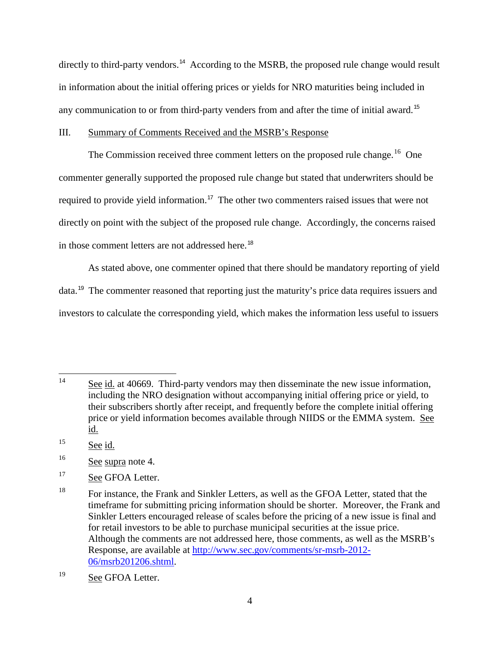directly to third-party vendors.<sup>[14](#page-3-0)</sup> According to the MSRB, the proposed rule change would result in information about the initial offering prices or yields for NRO maturities being included in any communication to or from third-party venders from and after the time of initial award.<sup>[15](#page-3-1)</sup>

## III. Summary of Comments Received and the MSRB's Response

The Commission received three comment letters on the proposed rule change.<sup>16</sup> One commenter generally supported the proposed rule change but stated that underwriters should be required to provide yield information.<sup>[17](#page-3-3)</sup> The other two commenters raised issues that were not directly on point with the subject of the proposed rule change. Accordingly, the concerns raised in those comment letters are not addressed here.<sup>[18](#page-3-4)</sup>

As stated above, one commenter opined that there should be mandatory reporting of yield data.[19](#page-3-5) The commenter reasoned that reporting just the maturity's price data requires issuers and investors to calculate the corresponding yield, which makes the information less useful to issuers

<span id="page-3-0"></span><sup>14</sup> See id. at 40669. Third-party vendors may then disseminate the new issue information, including the NRO designation without accompanying initial offering price or yield, to their subscribers shortly after receipt, and frequently before the complete initial offering price or yield information becomes available through NIIDS or the EMMA system. See id.

<span id="page-3-1"></span> $15$  See id.

<span id="page-3-2"></span><sup>16</sup> See supra note [4.](#page-0-6)

<span id="page-3-3"></span><sup>&</sup>lt;sup>17</sup> See GFOA Letter.

<span id="page-3-4"></span><sup>&</sup>lt;sup>18</sup> For instance, the Frank and Sinkler Letters, as well as the GFOA Letter, stated that the timeframe for submitting pricing information should be shorter. Moreover, the Frank and Sinkler Letters encouraged release of scales before the pricing of a new issue is final and for retail investors to be able to purchase municipal securities at the issue price. Although the comments are not addressed here, those comments, as well as the MSRB's Response, are available at [http://www.sec.gov/comments/sr-msrb-2012-](http://www.sec.gov/comments/sr-msrb-2012-06/msrb201206.shtml) [06/msrb201206.shtml.](http://www.sec.gov/comments/sr-msrb-2012-06/msrb201206.shtml)

<span id="page-3-5"></span><sup>&</sup>lt;sup>19</sup> See GFOA Letter.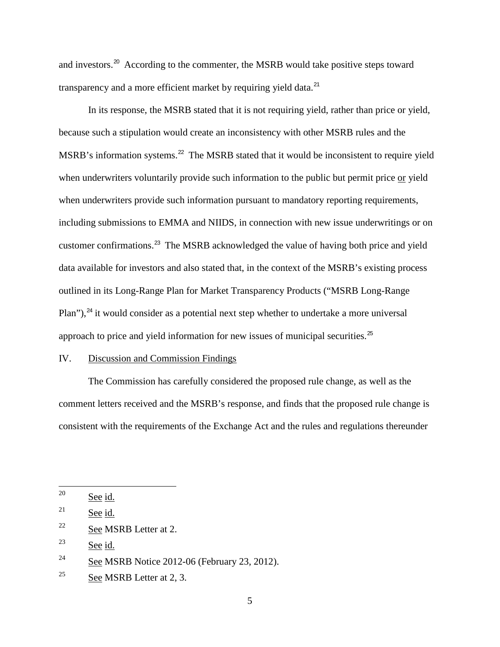and investors.[20](#page-4-0) According to the commenter, the MSRB would take positive steps toward transparency and a more efficient market by requiring yield data.<sup>[21](#page-4-1)</sup>

In its response, the MSRB stated that it is not requiring yield, rather than price or yield, because such a stipulation would create an inconsistency with other MSRB rules and the MSRB's information systems.<sup>[22](#page-4-2)</sup> The MSRB stated that it would be inconsistent to require yield when underwriters voluntarily provide such information to the public but permit price or yield when underwriters provide such information pursuant to mandatory reporting requirements, including submissions to EMMA and NIIDS, in connection with new issue underwritings or on customer confirmations.[23](#page-4-3) The MSRB acknowledged the value of having both price and yield data available for investors and also stated that, in the context of the MSRB's existing process outlined in its Long-Range Plan for Market Transparency Products ("MSRB Long-Range Plan"), $^{24}$  $^{24}$  $^{24}$  it would consider as a potential next step whether to undertake a more universal approach to price and yield information for new issues of municipal securities.<sup>[25](#page-4-5)</sup>

## IV. Discussion and Commission Findings

The Commission has carefully considered the proposed rule change, as well as the comment letters received and the MSRB's response, and finds that the proposed rule change is consistent with the requirements of the Exchange Act and the rules and regulations thereunder

<span id="page-4-0"></span><sup>20</sup> See id.

<span id="page-4-1"></span><sup>&</sup>lt;sup>21</sup> See id.

<span id="page-4-2"></span> $22$  See MSRB Letter at 2.

<span id="page-4-3"></span> $23$  See id.

<span id="page-4-4"></span> $24$  See MSRB Notice 2012-06 (February 23, 2012).

<span id="page-4-5"></span><sup>&</sup>lt;sup>25</sup> See MSRB Letter at 2, 3.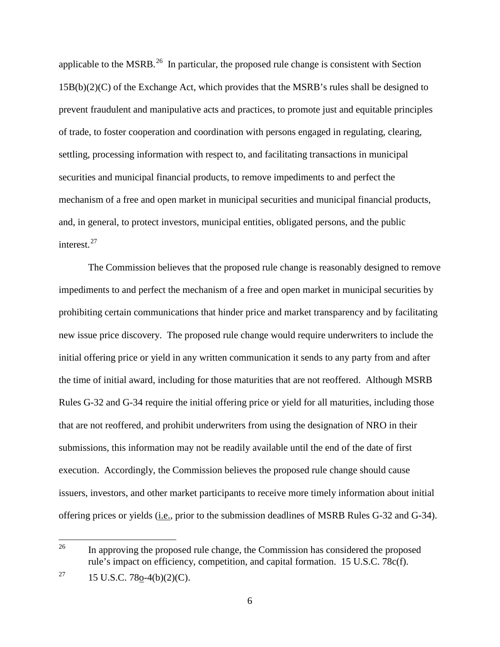applicable to the MSRB.<sup>[26](#page-5-0)</sup> In particular, the proposed rule change is consistent with Section 15B(b)(2)(C) of the Exchange Act, which provides that the MSRB's rules shall be designed to prevent fraudulent and manipulative acts and practices, to promote just and equitable principles of trade, to foster cooperation and coordination with persons engaged in regulating, clearing, settling, processing information with respect to, and facilitating transactions in municipal securities and municipal financial products, to remove impediments to and perfect the mechanism of a free and open market in municipal securities and municipal financial products, and, in general, to protect investors, municipal entities, obligated persons, and the public interest.<sup>[27](#page-5-1)</sup>

The Commission believes that the proposed rule change is reasonably designed to remove impediments to and perfect the mechanism of a free and open market in municipal securities by prohibiting certain communications that hinder price and market transparency and by facilitating new issue price discovery. The proposed rule change would require underwriters to include the initial offering price or yield in any written communication it sends to any party from and after the time of initial award, including for those maturities that are not reoffered. Although MSRB Rules G-32 and G-34 require the initial offering price or yield for all maturities, including those that are not reoffered, and prohibit underwriters from using the designation of NRO in their submissions, this information may not be readily available until the end of the date of first execution. Accordingly, the Commission believes the proposed rule change should cause issuers, investors, and other market participants to receive more timely information about initial offering prices or yields (i.e., prior to the submission deadlines of MSRB Rules G-32 and G-34).

<span id="page-5-0"></span><sup>26</sup> 26 In approving the proposed rule change, the Commission has considered the proposed rule's impact on efficiency, competition, and capital formation. 15 U.S.C. 78c(f).

<span id="page-5-1"></span><sup>&</sup>lt;sup>27</sup> 15 U.S.C. 78<u>o</u>-4(b)(2)(C).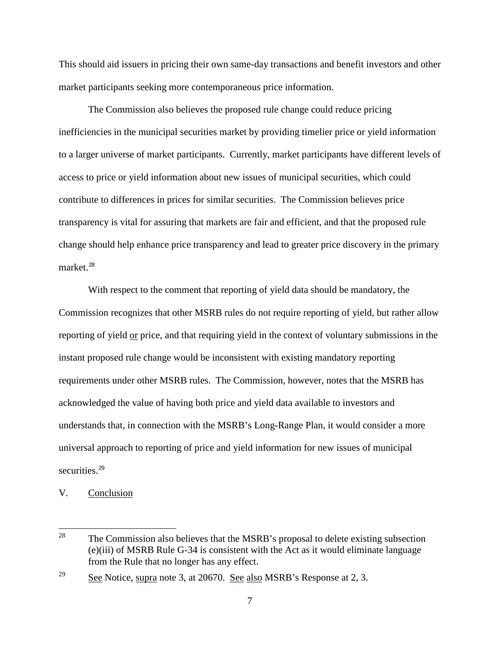This should aid issuers in pricing their own same-day transactions and benefit investors and other market participants seeking more contemporaneous price information.

The Commission also believes the proposed rule change could reduce pricing inefficiencies in the municipal securities market by providing timelier price or yield information to a larger universe of market participants. Currently, market participants have different levels of access to price or yield information about new issues of municipal securities, which could contribute to differences in prices for similar securities. The Commission believes price transparency is vital for assuring that markets are fair and efficient, and that the proposed rule change should help enhance price transparency and lead to greater price discovery in the primary market. [28](#page-6-0)

With respect to the comment that reporting of yield data should be mandatory, the Commission recognizes that other MSRB rules do not require reporting of yield, but rather allow reporting of yield or price, and that requiring yield in the context of voluntary submissions in the instant proposed rule change would be inconsistent with existing mandatory reporting requirements under other MSRB rules. The Commission, however, notes that the MSRB has acknowledged the value of having both price and yield data available to investors and understands that, in connection with the MSRB's Long-Range Plan, it would consider a more universal approach to reporting of price and yield information for new issues of municipal securities.<sup>[29](#page-6-1)</sup>

V. Conclusion

<span id="page-6-0"></span><sup>28</sup> The Commission also believes that the MSRB's proposal to delete existing subsection (e)(iii) of MSRB Rule G-34 is consistent with the Act as it would eliminate language from the Rule that no longer has any effect.

<span id="page-6-1"></span> $\frac{29}{2}$  See Notice, supra note [3,](#page-0-5) at 20670. See also MSRB's Response at 2, 3.